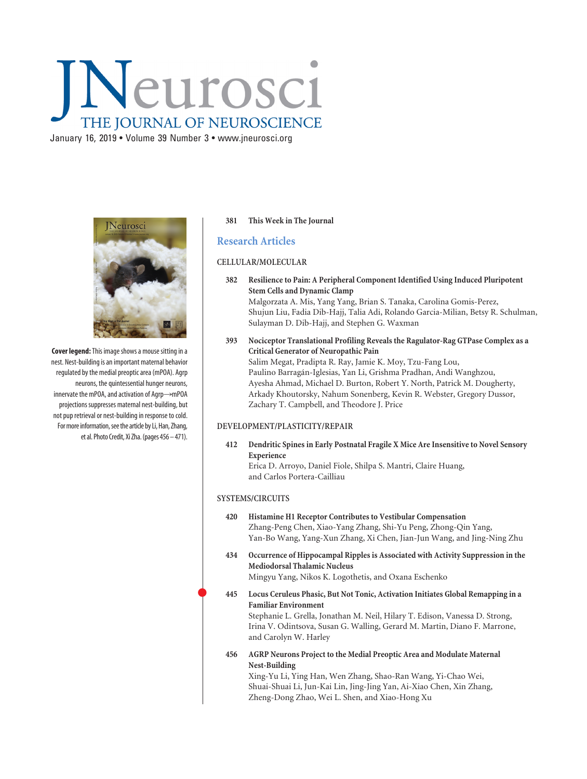# Neurosci THE JOURNAL OF NEUROSCIENCE

January 16, 2019 • Volume 39 Number 3 • www.jneurosci.org



**Cover legend:**This image shows a mouse sitting in a nest. Nest-building is an important maternal behavior regulated by the medial preoptic area (mPOA). Agrp neurons, the quintessential hunger neurons, innervate the mPOA, and activation of  $Aqrp \rightarrow mPOA$ projections suppresses maternal nest-building, but not pup retrieval or nest-building in response to cold. For more information, see the article by Li, Han, Zhang, et al. Photo Credit, Xi Zha.(pages 456 – 471).

#### **381 This Week in The Journal**

## **Research Articles**

## **CELLULAR/MOLECULAR**

- **382 Resilience to Pain: A Peripheral Component Identified Using Induced Pluripotent Stem Cells and Dynamic Clamp** Malgorzata A. Mis, Yang Yang, Brian S. Tanaka, Carolina Gomis-Perez, Shujun Liu, Fadia Dib-Hajj, Talia Adi, Rolando Garcia-Milian, Betsy R. Schulman, Sulayman D. Dib-Hajj, and Stephen G. Waxman
- **393 Nociceptor Translational Profiling Reveals the Ragulator-Rag GTPase Complex as a Critical Generator of Neuropathic Pain** Salim Megat, Pradipta R. Ray, Jamie K. Moy, Tzu-Fang Lou, Paulino Barragán-Iglesias, Yan Li, Grishma Pradhan, Andi Wanghzou, Ayesha Ahmad, Michael D. Burton, Robert Y. North, Patrick M. Dougherty, Arkady Khoutorsky, Nahum Sonenberg, Kevin R. Webster, Gregory Dussor, Zachary T. Campbell, and Theodore J. Price

### **DEVELOPMENT/PLASTICITY/REPAIR**

**412 Dendritic Spines in Early Postnatal Fragile X Mice Are Insensitive to Novel Sensory Experience**

Erica D. Arroyo, Daniel Fiole, Shilpa S. Mantri, Claire Huang, and Carlos Portera-Cailliau

#### **SYSTEMS/CIRCUITS**

 $\bullet$ 

#### **420 Histamine H1 Receptor Contributes to Vestibular Compensation** Zhang-Peng Chen, Xiao-Yang Zhang, Shi-Yu Peng, Zhong-Qin Yang, Yan-Bo Wang, Yang-Xun Zhang, Xi Chen, Jian-Jun Wang, and Jing-Ning Zhu

**434 Occurrence of Hippocampal Ripples is Associated with Activity Suppression in the Mediodorsal Thalamic Nucleus**

Mingyu Yang, Nikos K. Logothetis, and Oxana Eschenko

 **445 Locus Ceruleus Phasic, But Not Tonic, Activation Initiates Global Remapping in a Familiar Environment**

Stephanie L. Grella, Jonathan M. Neil, Hilary T. Edison, Vanessa D. Strong, Irina V. Odintsova, Susan G. Walling, Gerard M. Martin, Diano F. Marrone, and Carolyn W. Harley

**456 AGRP Neurons Project to the Medial Preoptic Area and Modulate Maternal Nest-Building**

Xing-Yu Li, Ying Han, Wen Zhang, Shao-Ran Wang, Yi-Chao Wei, Shuai-Shuai Li, Jun-Kai Lin, Jing-Jing Yan, Ai-Xiao Chen, Xin Zhang, Zheng-Dong Zhao, Wei L. Shen, and Xiao-Hong Xu